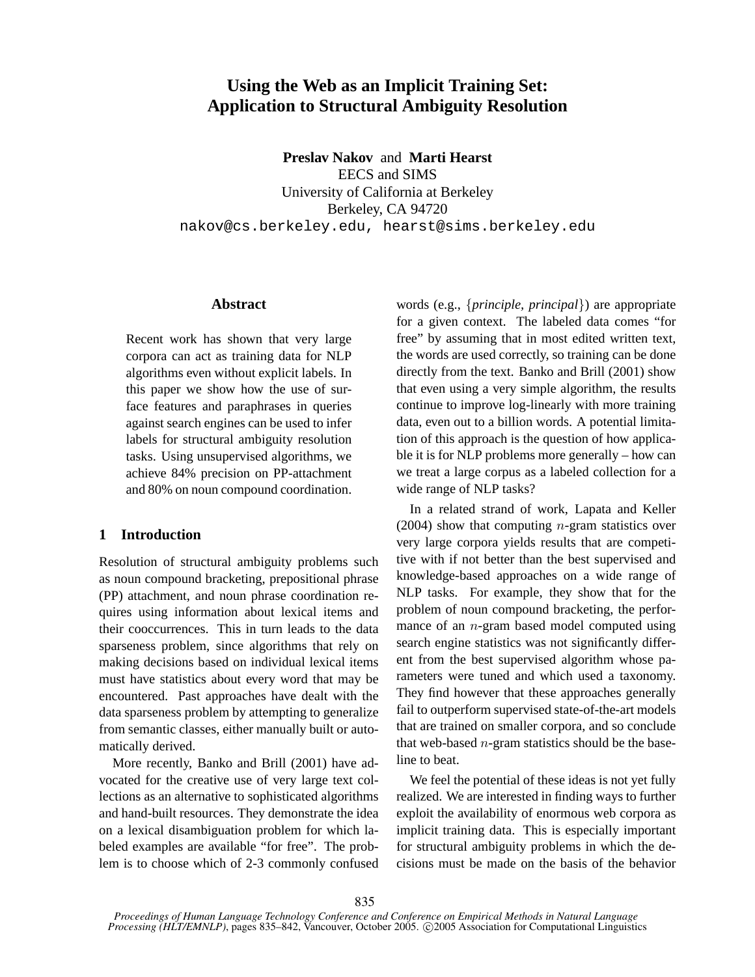# **Using the Web as an Implicit Training Set: Application to Structural Ambiguity Resolution**

**Preslav Nakov** and **Marti Hearst** EECS and SIMS University of California at Berkeley Berkeley, CA 94720 nakov@cs.berkeley.edu, hearst@sims.berkeley.edu

## **Abstract**

Recent work has shown that very large corpora can act as training data for NLP algorithms even without explicit labels. In this paper we show how the use of surface features and paraphrases in queries against search engines can be used to infer labels for structural ambiguity resolution tasks. Using unsupervised algorithms, we achieve 84% precision on PP-attachment and 80% on noun compound coordination.

## **1 Introduction**

Resolution of structural ambiguity problems such as noun compound bracketing, prepositional phrase (PP) attachment, and noun phrase coordination requires using information about lexical items and their cooccurrences. This in turn leads to the data sparseness problem, since algorithms that rely on making decisions based on individual lexical items must have statistics about every word that may be encountered. Past approaches have dealt with the data sparseness problem by attempting to generalize from semantic classes, either manually built or automatically derived.

More recently, Banko and Brill (2001) have advocated for the creative use of very large text collections as an alternative to sophisticated algorithms and hand-built resources. They demonstrate the idea on a lexical disambiguation problem for which labeled examples are available "for free". The problem is to choose which of 2-3 commonly confused

words (e.g., {*principle, principal*}) are appropriate for a given context. The labeled data comes "for free" by assuming that in most edited written text, the words are used correctly, so training can be done directly from the text. Banko and Brill (2001) show that even using a very simple algorithm, the results continue to improve log-linearly with more training data, even out to a billion words. A potential limitation of this approach is the question of how applicable it is for NLP problems more generally – how can we treat a large corpus as a labeled collection for a wide range of NLP tasks?

In a related strand of work, Lapata and Keller (2004) show that computing *n*-gram statistics over very large corpora yields results that are competitive with if not better than the best supervised and knowledge-based approaches on a wide range of NLP tasks. For example, they show that for the problem of noun compound bracketing, the performance of an  $n$ -gram based model computed using search engine statistics was not significantly different from the best supervised algorithm whose parameters were tuned and which used a taxonomy. They find however that these approaches generally fail to outperform supervised state-of-the-art models that are trained on smaller corpora, and so conclude that web-based  $n$ -gram statistics should be the baseline to beat.

We feel the potential of these ideas is not yet fully realized. We are interested in finding ways to further exploit the availability of enormous web corpora as implicit training data. This is especially important for structural ambiguity problems in which the decisions must be made on the basis of the behavior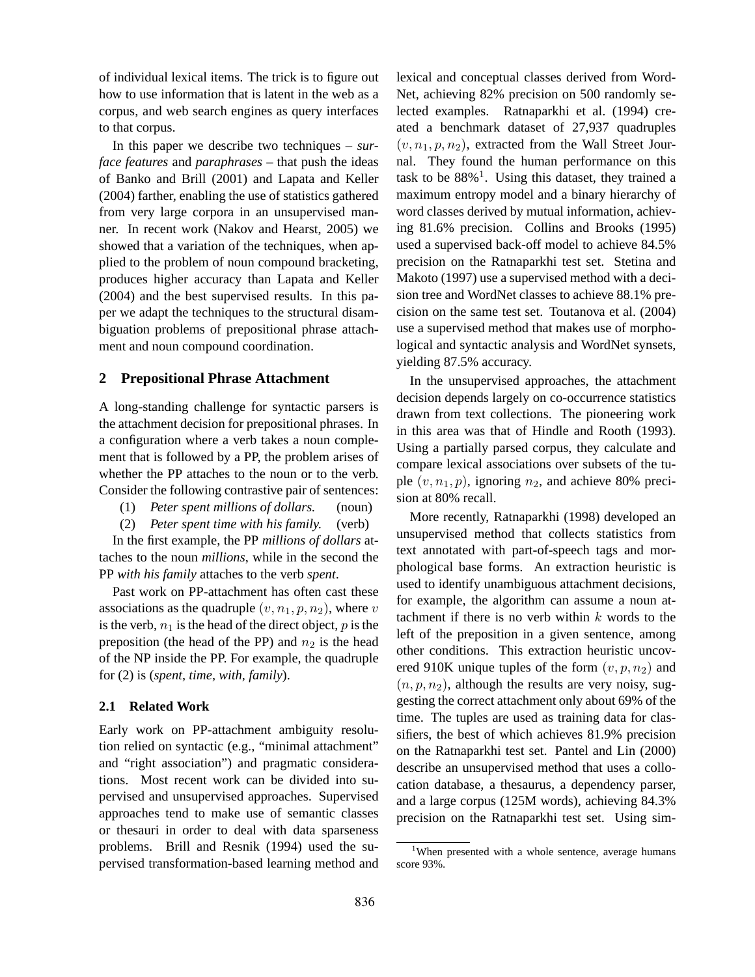of individual lexical items. The trick is to figure out how to use information that is latent in the web as a corpus, and web search engines as query interfaces to that corpus.

In this paper we describe two techniques – *surface features* and *paraphrases* – that push the ideas of Banko and Brill (2001) and Lapata and Keller (2004) farther, enabling the use of statistics gathered from very large corpora in an unsupervised manner. In recent work (Nakov and Hearst, 2005) we showed that a variation of the techniques, when applied to the problem of noun compound bracketing, produces higher accuracy than Lapata and Keller (2004) and the best supervised results. In this paper we adapt the techniques to the structural disambiguation problems of prepositional phrase attachment and noun compound coordination.

## **2 Prepositional Phrase Attachment**

A long-standing challenge for syntactic parsers is the attachment decision for prepositional phrases. In a configuration where a verb takes a noun complement that is followed by a PP, the problem arises of whether the PP attaches to the noun or to the verb. Consider the following contrastive pair of sentences:

- (1) *Peter spent millions of dollars.* (noun)
- (2) *Peter spent time with his family.* (verb)

In the first example, the PP *millions of dollars* attaches to the noun *millions*, while in the second the PP *with his family* attaches to the verb *spent*.

Past work on PP-attachment has often cast these associations as the quadruple  $(v, n_1, p, n_2)$ , where v is the verb,  $n_1$  is the head of the direct object,  $p$  is the preposition (the head of the PP) and  $n_2$  is the head of the NP inside the PP. For example, the quadruple for (2) is (*spent*, *time*, *with*, *family*).

#### **2.1 Related Work**

Early work on PP-attachment ambiguity resolution relied on syntactic (e.g., "minimal attachment" and "right association") and pragmatic considerations. Most recent work can be divided into supervised and unsupervised approaches. Supervised approaches tend to make use of semantic classes or thesauri in order to deal with data sparseness problems. Brill and Resnik (1994) used the supervised transformation-based learning method and lexical and conceptual classes derived from Word-Net, achieving 82% precision on 500 randomly selected examples. Ratnaparkhi et al. (1994) created a benchmark dataset of 27,937 quadruples  $(v, n_1, p, n_2)$ , extracted from the Wall Street Journal. They found the human performance on this task to be  $88\%$ <sup>1</sup>. Using this dataset, they trained a maximum entropy model and a binary hierarchy of word classes derived by mutual information, achieving 81.6% precision. Collins and Brooks (1995) used a supervised back-off model to achieve 84.5% precision on the Ratnaparkhi test set. Stetina and Makoto (1997) use a supervised method with a decision tree and WordNet classes to achieve 88.1% precision on the same test set. Toutanova et al. (2004) use a supervised method that makes use of morphological and syntactic analysis and WordNet synsets, yielding 87.5% accuracy.

In the unsupervised approaches, the attachment decision depends largely on co-occurrence statistics drawn from text collections. The pioneering work in this area was that of Hindle and Rooth (1993). Using a partially parsed corpus, they calculate and compare lexical associations over subsets of the tuple  $(v, n_1, p)$ , ignoring  $n_2$ , and achieve 80% precision at 80% recall.

More recently, Ratnaparkhi (1998) developed an unsupervised method that collects statistics from text annotated with part-of-speech tags and morphological base forms. An extraction heuristic is used to identify unambiguous attachment decisions, for example, the algorithm can assume a noun attachment if there is no verb within  $k$  words to the left of the preposition in a given sentence, among other conditions. This extraction heuristic uncovered 910K unique tuples of the form  $(v, p, n_2)$  and  $(n, p, n_2)$ , although the results are very noisy, suggesting the correct attachment only about 69% of the time. The tuples are used as training data for classifiers, the best of which achieves 81.9% precision on the Ratnaparkhi test set. Pantel and Lin (2000) describe an unsupervised method that uses a collocation database, a thesaurus, a dependency parser, and a large corpus (125M words), achieving 84.3% precision on the Ratnaparkhi test set. Using sim-

<sup>&</sup>lt;sup>1</sup>When presented with a whole sentence, average humans score 93%.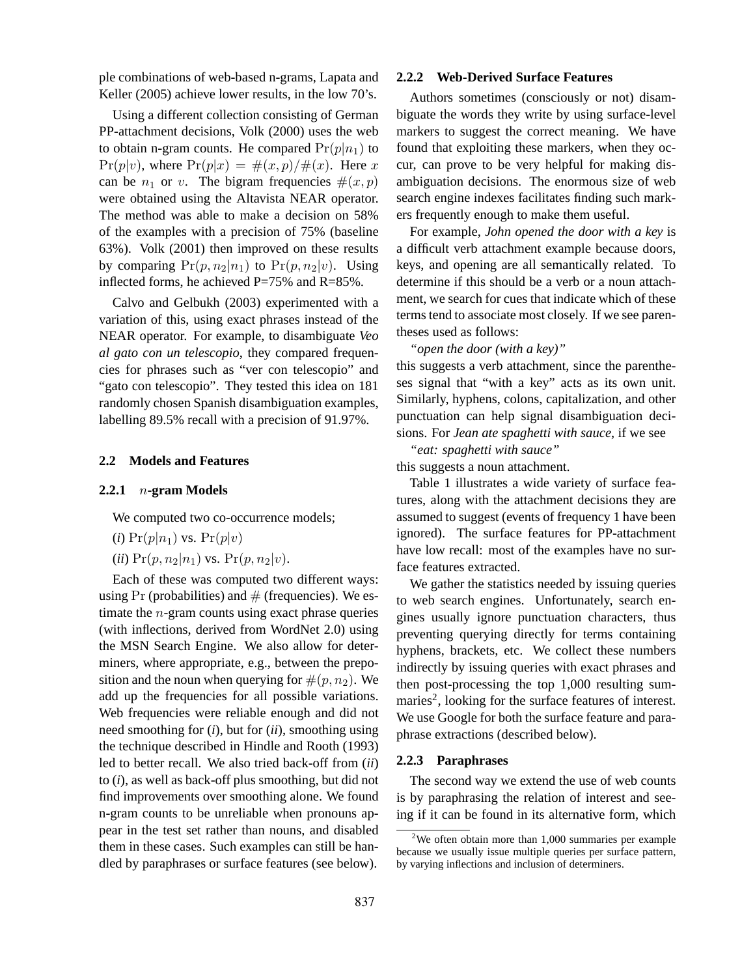ple combinations of web-based n-grams, Lapata and Keller (2005) achieve lower results, in the low 70's.

Using a different collection consisting of German PP-attachment decisions, Volk (2000) uses the web to obtain n-gram counts. He compared  $Pr(p|n_1)$  to  $Pr(p|v)$ , where  $Pr(p|x) = \#(x, p)/\#(x)$ . Here x can be  $n_1$  or v. The bigram frequencies  $\#(x, p)$ were obtained using the Altavista NEAR operator. The method was able to make a decision on 58% of the examples with a precision of 75% (baseline 63%). Volk (2001) then improved on these results by comparing  $Pr(p, n_2|n_1)$  to  $Pr(p, n_2|v)$ . Using inflected forms, he achieved  $P=75%$  and  $R=85%$ .

Calvo and Gelbukh (2003) experimented with a variation of this, using exact phrases instead of the NEAR operator. For example, to disambiguate *Veo al gato con un telescopio*, they compared frequencies for phrases such as "ver con telescopio" and "gato con telescopio". They tested this idea on 181 randomly chosen Spanish disambiguation examples, labelling 89.5% recall with a precision of 91.97%.

## **2.2 Models and Features**

## **2.2.1** n**-gram Models**

We computed two co-occurrence models;

- $(i)$  Pr $(p|n_1)$  vs. Pr $(p|v)$
- (*ii*)  $Pr(p, n_2 | n_1)$  vs.  $Pr(p, n_2 | v)$ .

Each of these was computed two different ways: using Pr (probabilities) and  $#$  (frequencies). We estimate the n-gram counts using exact phrase queries (with inflections, derived from WordNet 2.0) using the MSN Search Engine. We also allow for determiners, where appropriate, e.g., between the preposition and the noun when querying for  $\#(p, n_2)$ . We add up the frequencies for all possible variations. Web frequencies were reliable enough and did not need smoothing for (*i*), but for (*ii*), smoothing using the technique described in Hindle and Rooth (1993) led to better recall. We also tried back-off from (*ii*) to (*i*), as well as back-off plus smoothing, but did not find improvements over smoothing alone. We found n-gram counts to be unreliable when pronouns appear in the test set rather than nouns, and disabled them in these cases. Such examples can still be handled by paraphrases or surface features (see below).

### **2.2.2 Web-Derived Surface Features**

Authors sometimes (consciously or not) disambiguate the words they write by using surface-level markers to suggest the correct meaning. We have found that exploiting these markers, when they occur, can prove to be very helpful for making disambiguation decisions. The enormous size of web search engine indexes facilitates finding such markers frequently enough to make them useful.

For example, *John opened the door with a key* is a difficult verb attachment example because doors, keys, and opening are all semantically related. To determine if this should be a verb or a noun attachment, we search for cues that indicate which of these terms tend to associate most closely. If we see parentheses used as follows:

*"open the door (with a key)"*

this suggests a verb attachment, since the parentheses signal that "with a key" acts as its own unit. Similarly, hyphens, colons, capitalization, and other punctuation can help signal disambiguation decisions. For *Jean ate spaghetti with sauce*, if we see

*"eat: spaghetti with sauce"*

this suggests a noun attachment.

Table 1 illustrates a wide variety of surface features, along with the attachment decisions they are assumed to suggest (events of frequency 1 have been ignored). The surface features for PP-attachment have low recall: most of the examples have no surface features extracted.

We gather the statistics needed by issuing queries to web search engines. Unfortunately, search engines usually ignore punctuation characters, thus preventing querying directly for terms containing hyphens, brackets, etc. We collect these numbers indirectly by issuing queries with exact phrases and then post-processing the top 1,000 resulting summaries<sup>2</sup>, looking for the surface features of interest. We use Google for both the surface feature and paraphrase extractions (described below).

#### **2.2.3 Paraphrases**

The second way we extend the use of web counts is by paraphrasing the relation of interest and seeing if it can be found in its alternative form, which

<sup>&</sup>lt;sup>2</sup>We often obtain more than  $1,000$  summaries per example because we usually issue multiple queries per surface pattern, by varying inflections and inclusion of determiners.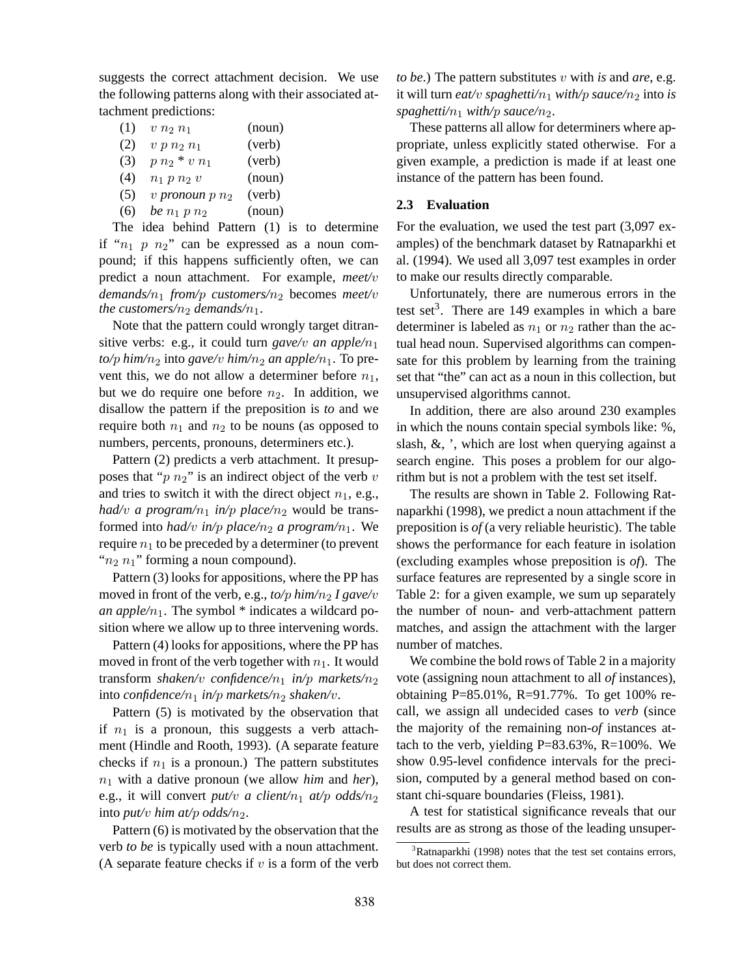suggests the correct attachment decision. We use the following patterns along with their associated attachment predictions:

- (1)  $v n_2 n_1$  (noun) (2)  $v p n_2 n_1$  (verb) (3)  $p n_2 * v n_1$  (verb) (4)  $n_1 p n_2 v$  (noun)
- (5) v *pronoun*  $p n_2$  (verb)
- (6) *be*  $n_1 p n_2$  (noun)

The idea behind Pattern (1) is to determine if " $n_1$  p  $n_2$ " can be expressed as a noun compound; if this happens sufficiently often, we can predict a noun attachment. For example, *meet/*v *demands/*n<sup>1</sup> *from/*p *customers/*n<sup>2</sup> becomes *meet/*v *the customers/n<sub>2</sub> demands/n<sub>1</sub>.* 

Note that the pattern could wrongly target ditransitive verbs: e.g., it could turn *gave/v an apple/n*<sup>1</sup>  $to/p$  *him*/ $n_2$  *into gave/v him/* $n_2$  *<i>an apple/n*<sub>1</sub>. To prevent this, we do not allow a determiner before  $n_1$ , but we do require one before  $n_2$ . In addition, we disallow the pattern if the preposition is *to* and we require both  $n_1$  and  $n_2$  to be nouns (as opposed to numbers, percents, pronouns, determiners etc.).

Pattern (2) predicts a verb attachment. It presupposes that " $p n_2$ " is an indirect object of the verb v and tries to switch it with the direct object  $n_1$ , e.g., *had/v a program/n<sub>1</sub> in/p place/n<sub>2</sub>* would be transformed into *had/v* in/p place/ $n_2$  a program/ $n_1$ . We require  $n_1$  to be preceded by a determiner (to prevent " $n_2$   $n_1$ " forming a noun compound).

Pattern (3) looks for appositions, where the PP has moved in front of the verb, e.g., *to/p him/n<sub>2</sub> I gave/v an apple/n*<sub>1</sub>. The symbol  $*$  indicates a wildcard position where we allow up to three intervening words.

Pattern (4) looks for appositions, where the PP has moved in front of the verb together with  $n_1$ . It would transform *shaken/v confidence/n<sub>1</sub> in/p markets/n<sub>2</sub>* into *confidence*/ $n_1$  *in/p markets/n<sub>2</sub> shaken/v.* 

Pattern (5) is motivated by the observation that if  $n_1$  is a pronoun, this suggests a verb attachment (Hindle and Rooth, 1993). (A separate feature checks if  $n_1$  is a pronoun.) The pattern substitutes  $n_1$  with a dative pronoun (we allow *him* and *her*), e.g., it will convert *put/v a client/n<sub>1</sub> at/p odds/n<sub>2</sub>* into *put/v* him at/*p odds*/ $n_2$ .

Pattern (6) is motivated by the observation that the verb *to be* is typically used with a noun attachment. (A separate feature checks if  $v$  is a form of the verb

*to be*.) The pattern substitutes v with *is* and *are*, e.g. it will turn *eat/v spaghetti/n*<sub>1</sub> *with/p sauce/n*<sub>2</sub> into *is spaghetti/n*<sub>1</sub> *with/p sauce/n*<sub>2</sub>*.* 

These patterns all allow for determiners where appropriate, unless explicitly stated otherwise. For a given example, a prediction is made if at least one instance of the pattern has been found.

## **2.3 Evaluation**

For the evaluation, we used the test part (3,097 examples) of the benchmark dataset by Ratnaparkhi et al. (1994). We used all 3,097 test examples in order to make our results directly comparable.

Unfortunately, there are numerous errors in the test set<sup>3</sup>. There are 149 examples in which a bare determiner is labeled as  $n_1$  or  $n_2$  rather than the actual head noun. Supervised algorithms can compensate for this problem by learning from the training set that "the" can act as a noun in this collection, but unsupervised algorithms cannot.

In addition, there are also around 230 examples in which the nouns contain special symbols like: %, slash, &, ', which are lost when querying against a search engine. This poses a problem for our algorithm but is not a problem with the test set itself.

The results are shown in Table 2. Following Ratnaparkhi (1998), we predict a noun attachment if the preposition is *of* (a very reliable heuristic). The table shows the performance for each feature in isolation (excluding examples whose preposition is *of*). The surface features are represented by a single score in Table 2: for a given example, we sum up separately the number of noun- and verb-attachment pattern matches, and assign the attachment with the larger number of matches.

We combine the bold rows of Table 2 in a majority vote (assigning noun attachment to all *of* instances), obtaining P=85.01%, R=91.77%. To get 100% recall, we assign all undecided cases to *verb* (since the majority of the remaining non-*of* instances attach to the verb, yielding P=83.63%, R=100%. We show 0.95-level confidence intervals for the precision, computed by a general method based on constant chi-square boundaries (Fleiss, 1981).

A test for statistical significance reveals that our results are as strong as those of the leading unsuper-

 $3Ratnaparkhi$  (1998) notes that the test set contains errors, but does not correct them.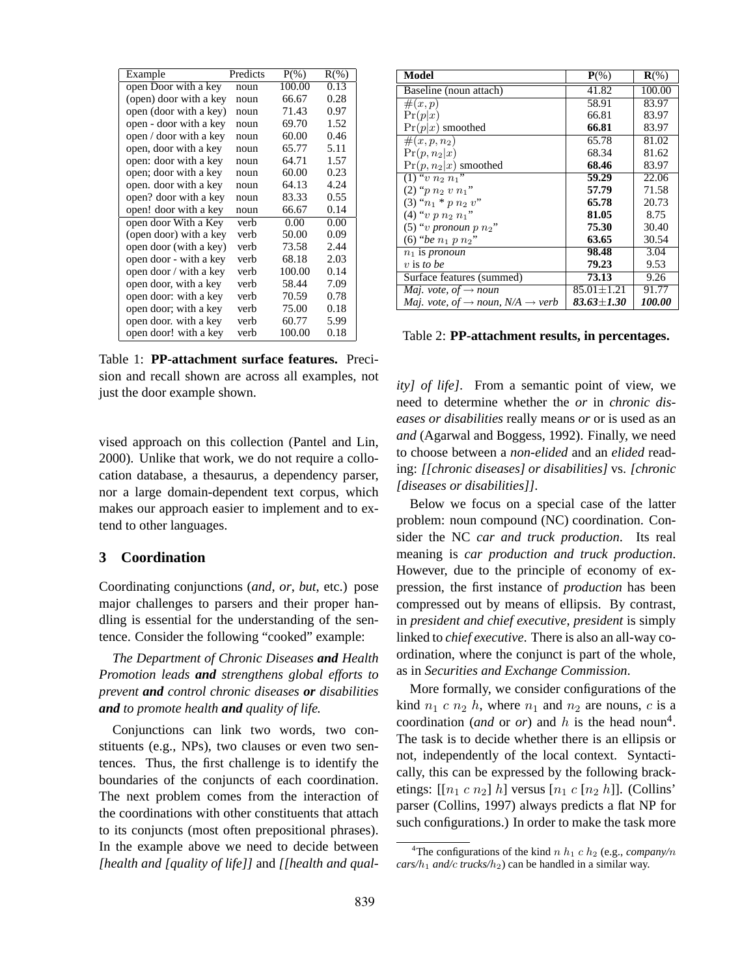| Example                | Predicts | $P(\% )$ | $R(\% )$ |
|------------------------|----------|----------|----------|
| open Door with a key   | noun     | 100.00   | 0.13     |
| (open) door with a key | noun     | 66.67    | 0.28     |
| open (door with a key) | noun     | 71.43    | 0.97     |
| open - door with a key | noun     | 69.70    | 1.52     |
| open / door with a key | noun     | 60.00    | 0.46     |
| open, door with a key  | noun     | 65.77    | 5.11     |
| open: door with a key  | noun     | 64.71    | 1.57     |
| open; door with a key  | noun     | 60.00    | 0.23     |
| open. door with a key  | noun     | 64.13    | 4.24     |
| open? door with a key  | noun     | 83.33    | 0.55     |
| open! door with a key  | noun     | 66.67    | 0.14     |
| open door With a Key   | verb     | 0.00     | 0.00     |
| (open door) with a key | verb     | 50.00    | 0.09     |
| open door (with a key) | verb     | 73.58    | 2.44     |
| open door - with a key | verb     | 68.18    | 2.03     |
| open door / with a key | verb     | 100.00   | 0.14     |
| open door, with a key  | verb     | 58.44    | 7.09     |
| open door: with a key  | verb     | 70.59    | 0.78     |
| open door; with a key  | verb     | 75.00    | 0.18     |
| open door. with a key  | verb     | 60.77    | 5.99     |
| open door! with a key  | verb     | 100.00   | 0.18     |

Table 1: **PP-attachment surface features.** Precision and recall shown are across all examples, not just the door example shown.

vised approach on this collection (Pantel and Lin, 2000). Unlike that work, we do not require a collocation database, a thesaurus, a dependency parser, nor a large domain-dependent text corpus, which makes our approach easier to implement and to extend to other languages.

## **3 Coordination**

Coordinating conjunctions (*and*, *or*, *but*, etc.) pose major challenges to parsers and their proper handling is essential for the understanding of the sentence. Consider the following "cooked" example:

*The Department of Chronic Diseases and Health Promotion leads and strengthens global efforts to prevent and control chronic diseases or disabilities and to promote health and quality of life.*

Conjunctions can link two words, two constituents (e.g., NPs), two clauses or even two sentences. Thus, the first challenge is to identify the boundaries of the conjuncts of each coordination. The next problem comes from the interaction of the coordinations with other constituents that attach to its conjuncts (most often prepositional phrases). In the example above we need to decide between *[health and [quality of life]]* and *[[health and qual-*

| <b>Model</b>                                                                  | $P(\%)$            | $\mathbf{R}(\%)$ |
|-------------------------------------------------------------------------------|--------------------|------------------|
| Baseline (noun attach)                                                        | 41.82              | 100.00           |
| $\#(x,p)$                                                                     | 58.91              | 83.97            |
| Pr(p x)                                                                       | 66.81              | 83.97            |
| $Pr(p x)$ smoothed                                                            | 66.81              | 83.97            |
| $#(x, p, n_2)$                                                                | 65.78              | 81.02            |
| $Pr(p, n_2 x)$                                                                | 68.34              | 81.62            |
| $Pr(p, n_2 x)$ smoothed                                                       | 68.46              | 83.97            |
| $(1)$ "v $n_2$ $n_1$ "                                                        | 59.29              | 22.06            |
| $(2)$ "p $n_2$ v $n_1$ "                                                      | 57.79              | 71.58            |
| $(3)$ " $n_1 * p n_2 v$ "                                                     | 65.78              | 20.73            |
| $(4)$ "v p $n_2$ $n_1$ "                                                      | 81.05              | 8.75             |
| (5) "v pronoun p $n_2$ "                                                      | 75.30              | 30.40            |
| (6) "be $n_1 p n_2$ "                                                         | 63.65              | 30.54            |
| $n_1$ is pronoun                                                              | 98.48              | 3.04             |
| $v$ is to be                                                                  | 79.23              | 9.53             |
| Surface features (summed)                                                     | 73.13              | 9.26             |
| <i>Maj. vote, of</i> $\rightarrow$ <i>noun</i>                                | $85.01 + 1.21$     | 91.77            |
| <i>Maj. vote, of</i> $\rightarrow$ <i>noun, N/A</i> $\rightarrow$ <i>verb</i> | $83.63 {\pm} 1.30$ | <i>100.00</i>    |

Table 2: **PP-attachment results, in percentages.**

*ity] of life]*. From a semantic point of view, we need to determine whether the *or* in *chronic diseases or disabilities* really means *or* or is used as an *and* (Agarwal and Boggess, 1992). Finally, we need to choose between a *non-elided* and an *elided* reading: *[[chronic diseases] or disabilities]* vs. *[chronic [diseases or disabilities]]*.

Below we focus on a special case of the latter problem: noun compound (NC) coordination. Consider the NC *car and truck production*. Its real meaning is *car production and truck production*. However, due to the principle of economy of expression, the first instance of *production* has been compressed out by means of ellipsis. By contrast, in *president and chief executive*, *president* is simply linked to *chief executive*. There is also an all-way coordination, where the conjunct is part of the whole, as in *Securities and Exchange Commission*.

More formally, we consider configurations of the kind  $n_1$  c  $n_2$  h, where  $n_1$  and  $n_2$  are nouns, c is a coordination (*and* or *or*) and h is the head noun<sup>4</sup>. The task is to decide whether there is an ellipsis or not, independently of the local context. Syntactically, this can be expressed by the following bracketings:  $[[n_1 c n_2] h]$  versus  $[n_1 c [n_2 h]]$ . (Collins' parser (Collins, 1997) always predicts a flat NP for such configurations.) In order to make the task more

<sup>&</sup>lt;sup>4</sup>The configurations of the kind  $n h_1 c h_2$  (e.g., *company/n*  $cars/h_1$  *and/c trucks/h<sub>2</sub>*) can be handled in a similar way.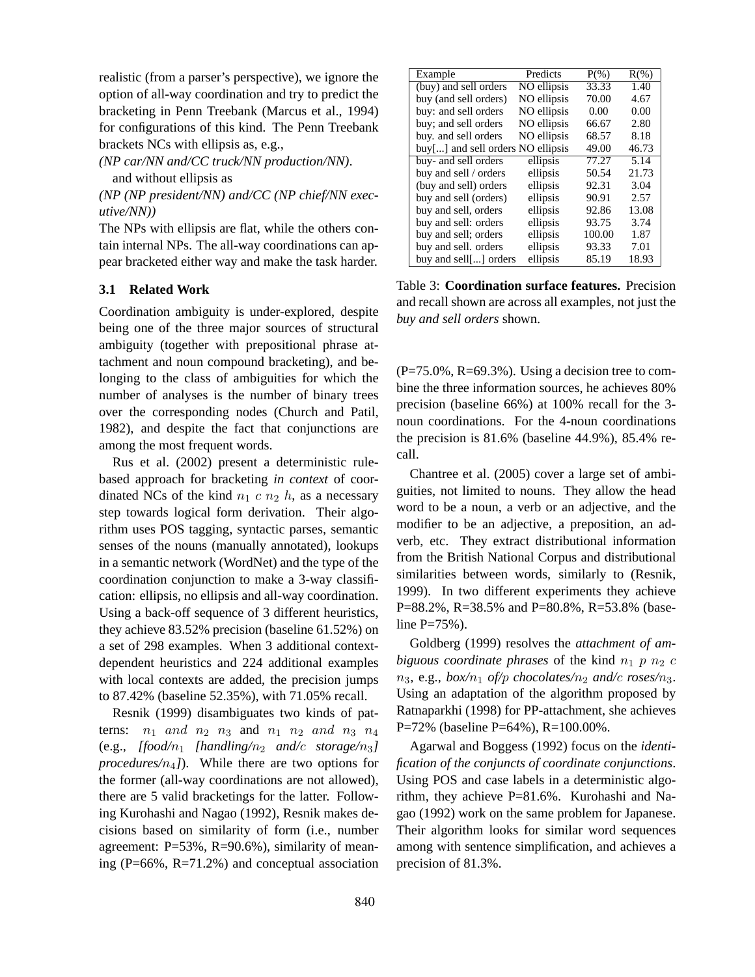realistic (from a parser's perspective), we ignore the option of all-way coordination and try to predict the bracketing in Penn Treebank (Marcus et al., 1994) for configurations of this kind. The Penn Treebank brackets NCs with ellipsis as, e.g.,

*(NP car/NN and/CC truck/NN production/NN)*. and without ellipsis as

*(NP (NP president/NN) and/CC (NP chief/NN executive/NN))*

The NPs with ellipsis are flat, while the others contain internal NPs. The all-way coordinations can appear bracketed either way and make the task harder.

## **3.1 Related Work**

Coordination ambiguity is under-explored, despite being one of the three major sources of structural ambiguity (together with prepositional phrase attachment and noun compound bracketing), and belonging to the class of ambiguities for which the number of analyses is the number of binary trees over the corresponding nodes (Church and Patil, 1982), and despite the fact that conjunctions are among the most frequent words.

Rus et al. (2002) present a deterministic rulebased approach for bracketing *in context* of coordinated NCs of the kind  $n_1$  c  $n_2$  h, as a necessary step towards logical form derivation. Their algorithm uses POS tagging, syntactic parses, semantic senses of the nouns (manually annotated), lookups in a semantic network (WordNet) and the type of the coordination conjunction to make a 3-way classification: ellipsis, no ellipsis and all-way coordination. Using a back-off sequence of 3 different heuristics, they achieve 83.52% precision (baseline 61.52%) on a set of 298 examples. When 3 additional contextdependent heuristics and 224 additional examples with local contexts are added, the precision jumps to 87.42% (baseline 52.35%), with 71.05% recall.

Resnik (1999) disambiguates two kinds of patterns:  $n_1$  and  $n_2$   $n_3$  and  $n_1$   $n_2$  and  $n_3$   $n_4$ (e.g., [food/n<sub>1</sub> [handling/n<sub>2</sub> and/c storage/n<sub>3</sub>] *procedures*/ $n_4$ *]*). While there are two options for the former (all-way coordinations are not allowed), there are 5 valid bracketings for the latter. Following Kurohashi and Nagao (1992), Resnik makes decisions based on similarity of form (i.e., number agreement: P=53%, R=90.6%), similarity of meaning (P=66%, R=71.2%) and conceptual association

| Example                           | Predicts    | $P(\% )$ | $R(\%)$ |
|-----------------------------------|-------------|----------|---------|
| (buy) and sell orders             | NO ellipsis | 33.33    | 1.40    |
| buy (and sell orders)             | NO ellipsis | 70.00    | 4.67    |
| buy: and sell orders              | NO ellipsis | 0.00     | 0.00    |
| buy; and sell orders              | NO ellipsis | 66.67    | 2.80    |
| buy, and sell orders              | NO ellipsis | 68.57    | 8.18    |
| buy[] and sell orders NO ellipsis |             | 49.00    | 46.73   |
| buy- and sell orders              | ellipsis    | 77.27    | 5.14    |
| buy and sell / orders             | ellipsis    | 50.54    | 21.73   |
| (buy and sell) orders             | ellipsis    | 92.31    | 3.04    |
| buy and sell (orders)             | ellipsis    | 90.91    | 2.57    |
| buy and sell, orders              | ellipsis    | 92.86    | 13.08   |
| buy and sell: orders              | ellipsis    | 93.75    | 3.74    |
| buy and sell; orders              | ellipsis    | 100.00   | 1.87    |
| buy and sell. orders              | ellipsis    | 93.33    | 7.01    |
| buy and sell[] orders             | ellipsis    | 85.19    | 18.93   |

Table 3: **Coordination surface features.** Precision and recall shown are across all examples, not just the *buy and sell orders* shown.

 $(P=75.0\%, R=69.3\%)$ . Using a decision tree to combine the three information sources, he achieves 80% precision (baseline 66%) at 100% recall for the 3 noun coordinations. For the 4-noun coordinations the precision is 81.6% (baseline 44.9%), 85.4% recall.

Chantree et al. (2005) cover a large set of ambiguities, not limited to nouns. They allow the head word to be a noun, a verb or an adjective, and the modifier to be an adjective, a preposition, an adverb, etc. They extract distributional information from the British National Corpus and distributional similarities between words, similarly to (Resnik, 1999). In two different experiments they achieve P=88.2%, R=38.5% and P=80.8%, R=53.8% (baseline  $P = 75%$ ).

Goldberg (1999) resolves the *attachment of ambiguous coordinate phrases* of the kind  $n_1$  p  $n_2$  c  $n_3$ , e.g., *box*/ $n_1$  *of/p chocolates/* $n_2$  *and/c roses/* $n_3$ *.* Using an adaptation of the algorithm proposed by Ratnaparkhi (1998) for PP-attachment, she achieves P=72% (baseline P=64%), R=100.00%.

Agarwal and Boggess (1992) focus on the *identification of the conjuncts of coordinate conjunctions*. Using POS and case labels in a deterministic algorithm, they achieve P=81.6%. Kurohashi and Nagao (1992) work on the same problem for Japanese. Their algorithm looks for similar word sequences among with sentence simplification, and achieves a precision of 81.3%.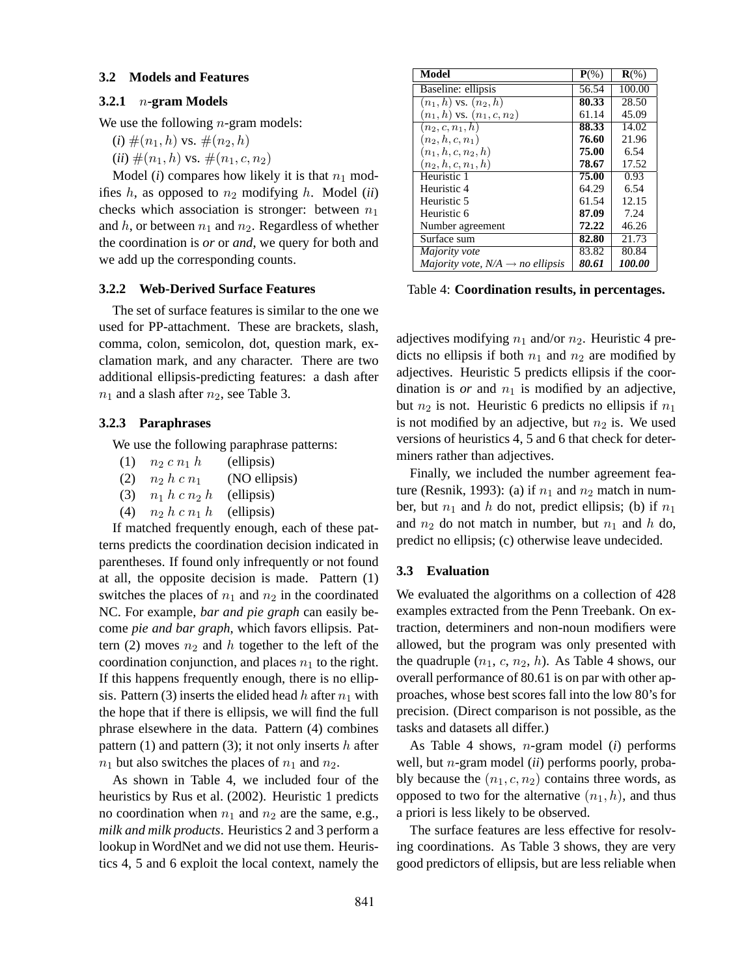#### **3.2 Models and Features**

## **3.2.1** n**-gram Models**

We use the following *n*-gram models:

(*i*) 
$$
\#(n_1, h)
$$
 vs.  $\#(n_2, h)$ 

 $(ii)$   $\#(n_1, h)$  vs.  $\#(n_1, c, n_2)$ 

Model ( $i$ ) compares how likely it is that  $n_1$  modifies  $h$ , as opposed to  $n_2$  modifying  $h$ . Model (*ii*) checks which association is stronger: between  $n_1$ and h, or between  $n_1$  and  $n_2$ . Regardless of whether the coordination is *or* or *and*, we query for both and we add up the corresponding counts.

#### **3.2.2 Web-Derived Surface Features**

The set of surface features is similar to the one we used for PP-attachment. These are brackets, slash, comma, colon, semicolon, dot, question mark, exclamation mark, and any character. There are two additional ellipsis-predicting features: a dash after  $n_1$  and a slash after  $n_2$ , see Table 3.

## **3.2.3 Paraphrases**

We use the following paraphrase patterns:

- (1)  $n_2 c n_1 h$  (ellipsis)
- (2)  $n_2 h c n_1$  (NO ellipsis)
- (3)  $n_1 h c n_2 h$  (ellipsis)
- (4)  $n_2 h c n_1 h$  (ellipsis)

If matched frequently enough, each of these patterns predicts the coordination decision indicated in parentheses. If found only infrequently or not found at all, the opposite decision is made. Pattern (1) switches the places of  $n_1$  and  $n_2$  in the coordinated NC. For example, *bar and pie graph* can easily become *pie and bar graph*, which favors ellipsis. Pattern (2) moves  $n_2$  and h together to the left of the coordination conjunction, and places  $n_1$  to the right. If this happens frequently enough, there is no ellipsis. Pattern (3) inserts the elided head h after  $n_1$  with the hope that if there is ellipsis, we will find the full phrase elsewhere in the data. Pattern (4) combines pattern (1) and pattern (3); it not only inserts  $h$  after  $n_1$  but also switches the places of  $n_1$  and  $n_2$ .

As shown in Table 4, we included four of the heuristics by Rus et al. (2002). Heuristic 1 predicts no coordination when  $n_1$  and  $n_2$  are the same, e.g., *milk and milk products*. Heuristics 2 and 3 perform a lookup in WordNet and we did not use them. Heuristics 4, 5 and 6 exploit the local context, namely the

| Model                                        | $P(\%)$ | $\mathbf{R}$ (%)     |
|----------------------------------------------|---------|----------------------|
| Baseline: ellipsis                           | 56.54   | 100.00               |
| $(n_1, h)$ vs. $(n_2, h)$                    | 80.33   | 28.50                |
| $(n_1, h)$ vs. $(n_1, c, n_2)$               | 61.14   | 45.09                |
| $(n_2, c, n_1, h)$                           | 88.33   | 14.02                |
| $(n_2, h, c, n_1)$                           | 76.60   | 21.96                |
| $(n_1, h, c, n_2, h)$                        | 75.00   | 6.54                 |
| $(n_2, h, c, n_1, h)$                        | 78.67   | 17.52                |
| Heuristic 1                                  | 75.00   | 0.93                 |
| Heuristic 4                                  | 64.29   | 6.54                 |
| Heuristic 5                                  | 61.54   | 12.15                |
| Heuristic 6                                  | 87.09   | 7.24                 |
| Number agreement                             | 72.22   | 46.26                |
| Surface sum                                  | 82.80   | 21.73                |
| Majority vote                                | 83.82   | 80.84                |
| Majority vote, $N/A \rightarrow$ no ellipsis | 80.61   | <i><b>100.00</b></i> |

Table 4: **Coordination results, in percentages.**

adjectives modifying  $n_1$  and/or  $n_2$ . Heuristic 4 predicts no ellipsis if both  $n_1$  and  $n_2$  are modified by adjectives. Heuristic 5 predicts ellipsis if the coordination is *or* and  $n_1$  is modified by an adjective, but  $n_2$  is not. Heuristic 6 predicts no ellipsis if  $n_1$ is not modified by an adjective, but  $n_2$  is. We used versions of heuristics 4, 5 and 6 that check for determiners rather than adjectives.

Finally, we included the number agreement feature (Resnik, 1993): (a) if  $n_1$  and  $n_2$  match in number, but  $n_1$  and h do not, predict ellipsis; (b) if  $n_1$ and  $n_2$  do not match in number, but  $n_1$  and h do, predict no ellipsis; (c) otherwise leave undecided.

### **3.3 Evaluation**

We evaluated the algorithms on a collection of 428 examples extracted from the Penn Treebank. On extraction, determiners and non-noun modifiers were allowed, but the program was only presented with the quadruple  $(n_1, c, n_2, h)$ . As Table 4 shows, our overall performance of 80.61 is on par with other approaches, whose best scores fall into the low 80's for precision. (Direct comparison is not possible, as the tasks and datasets all differ.)

As Table 4 shows, n-gram model (*i*) performs well, but n-gram model (*ii*) performs poorly, probably because the  $(n_1, c, n_2)$  contains three words, as opposed to two for the alternative  $(n_1, h)$ , and thus a priori is less likely to be observed.

The surface features are less effective for resolving coordinations. As Table 3 shows, they are very good predictors of ellipsis, but are less reliable when